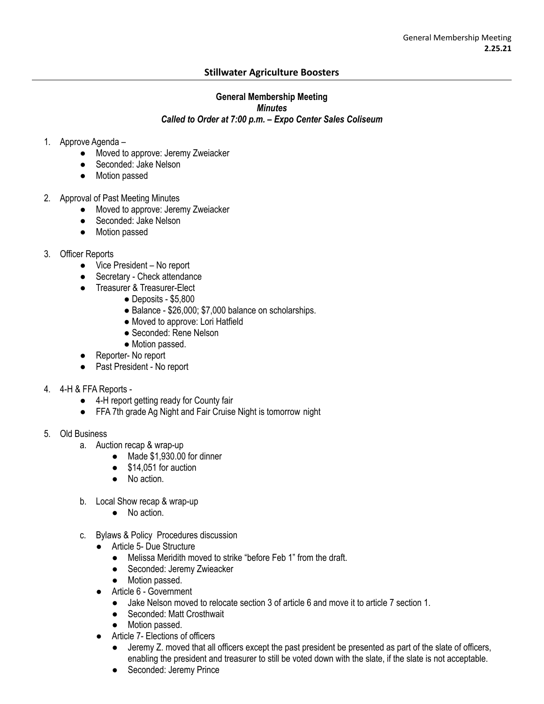# **Stillwater Agriculture Boosters**

# **General Membership Meeting** *Minutes Called to Order at 7:00 p.m. – Expo Center Sales Coliseum*

### 1. Approve Agenda –

- Moved to approve: Jeremy Zweiacker
- Seconded: Jake Nelson
- Motion passed
- 2. Approval of Past Meeting Minutes
	- Moved to approve: Jeremy Zweiacker
	- Seconded: Jake Nelson
	- Motion passed
- 3. Officer Reports
	- Vice President No report
	- Secretary Check attendance
	- Treasurer & Treasurer-Elect
		- $\bullet$  Deposits \$5,800
		- Balance \$26,000; \$7,000 balance on scholarships.
		- Moved to approve: Lori Hatfield
		- Seconded: Rene Nelson
		- Motion passed.
	- Reporter- No report
	- Past President No report
- 4. 4-H & FFA Reports
	- 4-H report getting ready for County fair
	- FFA 7th grade Ag Night and Fair Cruise Night is tomorrow night
- 5. Old Business
	- a. Auction recap & wrap-up
		- Made \$1,930,00 for dinner
		- \$14,051 for auction
		- No action.
	- b. Local Show recap & wrap-up
		- No action.
	- c. Bylaws & Policy Procedures discussion
		- Article 5- Due Structure
			- Melissa Meridith moved to strike "before Feb 1" from the draft.
			- Seconded: Jeremy Zwieacker
			- Motion passed.
		- Article 6 Government
			- Jake Nelson moved to relocate section 3 of article 6 and move it to article 7 section 1.
			- Seconded: Matt Crosthwait
			- Motion passed.
		- Article 7- Elections of officers
			- Jeremy Z. moved that all officers except the past president be presented as part of the slate of officers, enabling the president and treasurer to still be voted down with the slate, if the slate is not acceptable.
			- Seconded: Jeremy Prince